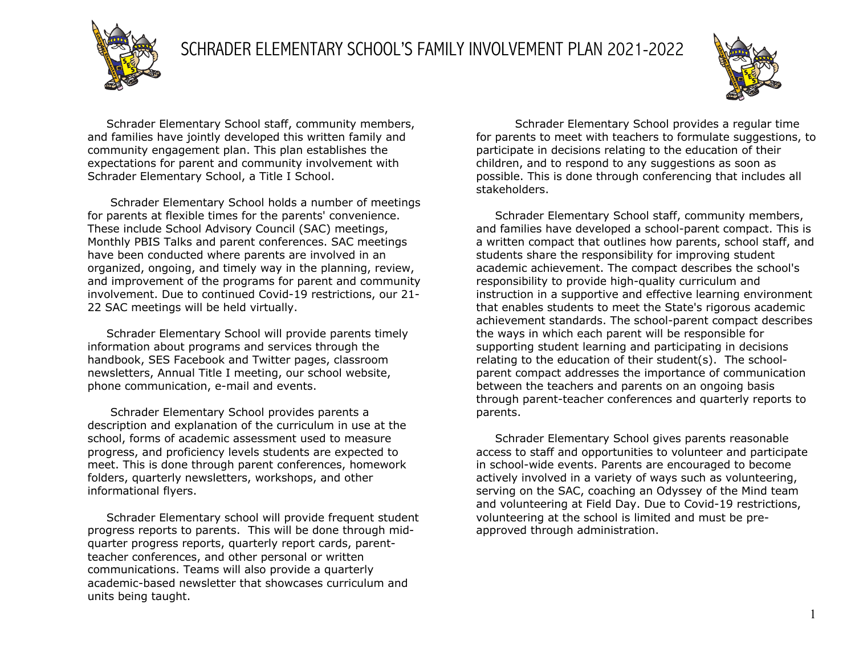

 Schrader Elementary School staff, community members, and families have jointly developed this written family and community engagement plan. This plan establishes the expectations for parent and community involvement with Schrader Elementary School, a Title I School.

 Schrader Elementary School holds a number of meetings for parents at flexible times for the parents' convenience. These include School Advisory Council (SAC) meetings, Monthly PBIS Talks and parent conferences. SAC meetings have been conducted where parents are involved in an organized, ongoing, and timely way in the planning, review, and improvement of the programs for parent and community involvement. Due to continued Covid-19 restrictions, our 21- 22 SAC meetings will be held virtually.

 Schrader Elementary School will provide parents timely information about programs and services through the handbook, SES Facebook and Twitter pages, classroom newsletters, Annual Title I meeting, our school website, phone communication, e-mail and events.

 Schrader Elementary School provides parents a description and explanation of the curriculum in use at the school, forms of academic assessment used to measure progress, and proficiency levels students are expected to meet. This is done through parent conferences, homework folders, quarterly newsletters, workshops, and other informational flyers.

 Schrader Elementary school will provide frequent student progress reports to parents. This will be done through midquarter progress reports, quarterly report cards, parentteacher conferences, and other personal or written communications. Teams will also provide a quarterly academic-based newsletter that showcases curriculum and units being taught.

Schrader Elementary School provides a regular time for parents to meet with teachers to formulate suggestions, to participate in decisions relating to the education of their children, and to respond to any suggestions as soon as possible. This is done through conferencing that includes all stakeholders.

 Schrader Elementary School staff, community members, and families have developed a school-parent compact. This is a written compact that outlines how parents, school staff, and students share the responsibility for improving student academic achievement. The compact describes the school's responsibility to provide high-quality curriculum and instruction in a supportive and effective learning environment that enables students to meet the State's rigorous academic achievement standards. The school-parent compact describes the ways in which each parent will be responsible for supporting student learning and participating in decisions relating to the education of their student(s). The schoolparent compact addresses the importance of communication between the teachers and parents on an ongoing basis through parent-teacher conferences and quarterly reports to parents.

 Schrader Elementary School gives parents reasonable access to staff and opportunities to volunteer and participate in school-wide events. Parents are encouraged to become actively involved in a variety of ways such as volunteering, serving on the SAC, coaching an Odyssey of the Mind team and volunteering at Field Day. Due to Covid-19 restrictions, volunteering at the school is limited and must be preapproved through administration.